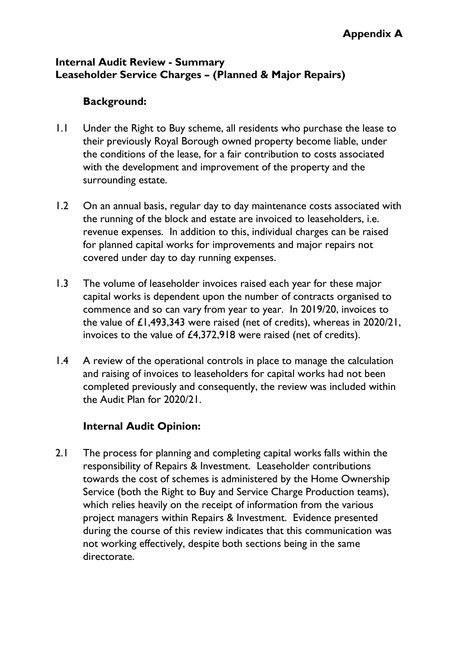## **Internal Audit Review - Summary Leaseholder Service Charges – (Planned & Major Repairs)**

## **Background:**

- 1.1 Under the Right to Buy scheme, all residents who purchase the lease to their previously Royal Borough owned property become liable, under the conditions of the lease, for a fair contribution to costs associated with the development and improvement of the property and the surrounding estate.
- 1.2 On an annual basis, regular day to day maintenance costs associated with the running of the block and estate are invoiced to leaseholders, i.e. revenue expenses. In addition to this, individual charges can be raised for planned capital works for improvements and major repairs not covered under day to day running expenses.
- 1.3 The volume of leaseholder invoices raised each year for these major capital works is dependent upon the number of contracts organised to commence and so can vary from year to year. In 2019/20, invoices to the value of £1,493,343 were raised (net of credits), whereas in 2020/21, invoices to the value of £4,372,918 were raised (net of credits).
- 1.4 A review of the operational controls in place to manage the calculation and raising of invoices to leaseholders for capital works had not been completed previously and consequently, the review was included within the Audit Plan for 2020/21.

## **Internal Audit Opinion:**

2.1 The process for planning and completing capital works falls within the responsibility of Repairs & Investment. Leaseholder contributions towards the cost of schemes is administered by the Home Ownership Service (both the Right to Buy and Service Charge Production teams), which relies heavily on the receipt of information from the various project managers within Repairs & Investment. Evidence presented during the course of this review indicates that this communication was not working effectively, despite both sections being in the same directorate.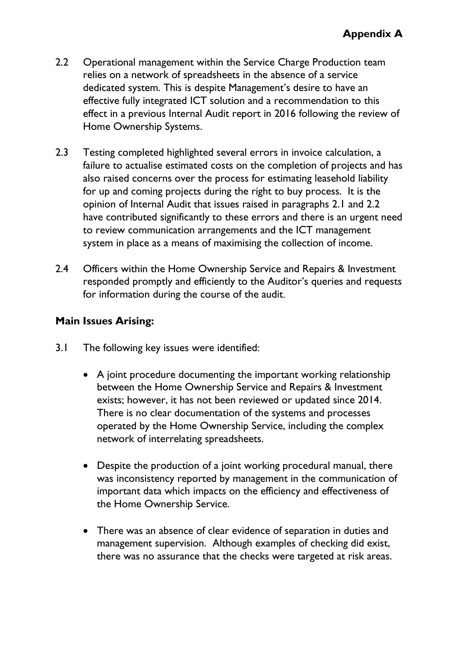- 2.2 Operational management within the Service Charge Production team relies on a network of spreadsheets in the absence of a service dedicated system. This is despite Management's desire to have an effective fully integrated ICT solution and a recommendation to this effect in a previous Internal Audit report in 2016 following the review of Home Ownership Systems.
- 2.3 Testing completed highlighted several errors in invoice calculation, a failure to actualise estimated costs on the completion of projects and has also raised concerns over the process for estimating leasehold liability for up and coming projects during the right to buy process. It is the opinion of Internal Audit that issues raised in paragraphs 2.1 and 2.2 have contributed significantly to these errors and there is an urgent need to review communication arrangements and the ICT management system in place as a means of maximising the collection of income.
- 2.4 Officers within the Home Ownership Service and Repairs & Investment responded promptly and efficiently to the Auditor's queries and requests for information during the course of the audit.

## **Main Issues Arising:**

- 3.1 The following key issues were identified:
	- A joint procedure documenting the important working relationship between the Home Ownership Service and Repairs & Investment exists; however, it has not been reviewed or updated since 2014. There is no clear documentation of the systems and processes operated by the Home Ownership Service, including the complex network of interrelating spreadsheets.
	- Despite the production of a joint working procedural manual, there was inconsistency reported by management in the communication of important data which impacts on the efficiency and effectiveness of the Home Ownership Service.
	- There was an absence of clear evidence of separation in duties and management supervision. Although examples of checking did exist, there was no assurance that the checks were targeted at risk areas.